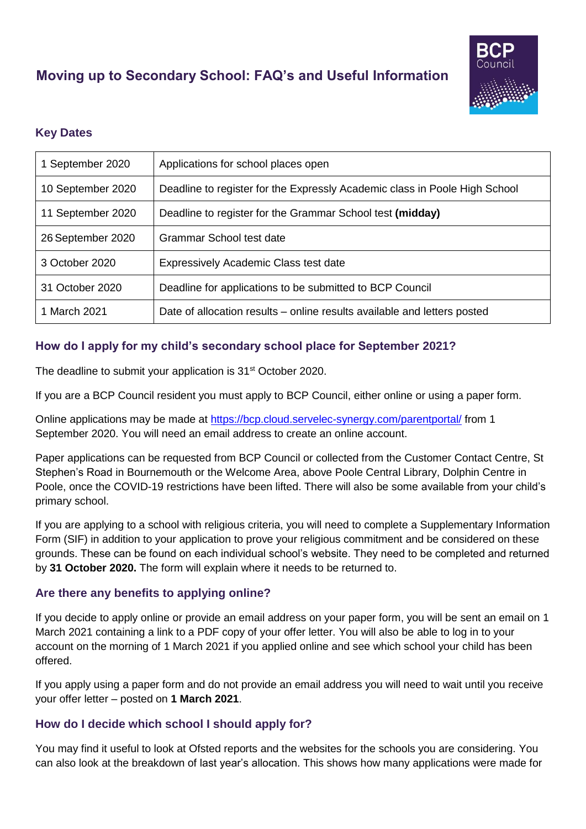# **Moving up to Secondary School: FAQ's and Useful Information**



# **Key Dates**

| 1 September 2020  | Applications for school places open                                        |
|-------------------|----------------------------------------------------------------------------|
| 10 September 2020 | Deadline to register for the Expressly Academic class in Poole High School |
| 11 September 2020 | Deadline to register for the Grammar School test (midday)                  |
| 26 September 2020 | Grammar School test date                                                   |
| 3 October 2020    | <b>Expressively Academic Class test date</b>                               |
| 31 October 2020   | Deadline for applications to be submitted to BCP Council                   |
| 1 March 2021      | Date of allocation results – online results available and letters posted   |

## **How do I apply for my child's secondary school place for September 2021?**

The deadline to submit your application is 31<sup>st</sup> October 2020.

If you are a BCP Council resident you must apply to BCP Council, either online or using a paper form.

Online applications may be made at<https://bcp.cloud.servelec-synergy.com/parentportal/> from 1 September 2020. You will need an email address to create an online account.

Paper applications can be requested from BCP Council or collected from the Customer Contact Centre, St Stephen's Road in Bournemouth or the Welcome Area, above Poole Central Library, Dolphin Centre in Poole, once the COVID-19 restrictions have been lifted. There will also be some available from your child's primary school.

If you are applying to a school with religious criteria, you will need to complete a Supplementary Information Form (SIF) in addition to your application to prove your religious commitment and be considered on these grounds. These can be found on each individual school's website. They need to be completed and returned by **31 October 2020.** The form will explain where it needs to be returned to.

#### **Are there any benefits to applying online?**

If you decide to apply online or provide an email address on your paper form, you will be sent an email on 1 March 2021 containing a link to a PDF copy of your offer letter. You will also be able to log in to your account on the morning of 1 March 2021 if you applied online and see which school your child has been offered.

If you apply using a paper form and do not provide an email address you will need to wait until you receive your offer letter – posted on **1 March 2021**.

#### **How do I decide which school I should apply for?**

You may find it useful to look at Ofsted reports and the websites for the schools you are considering. You can also look at the breakdown of last year's allocation. This shows how many applications were made for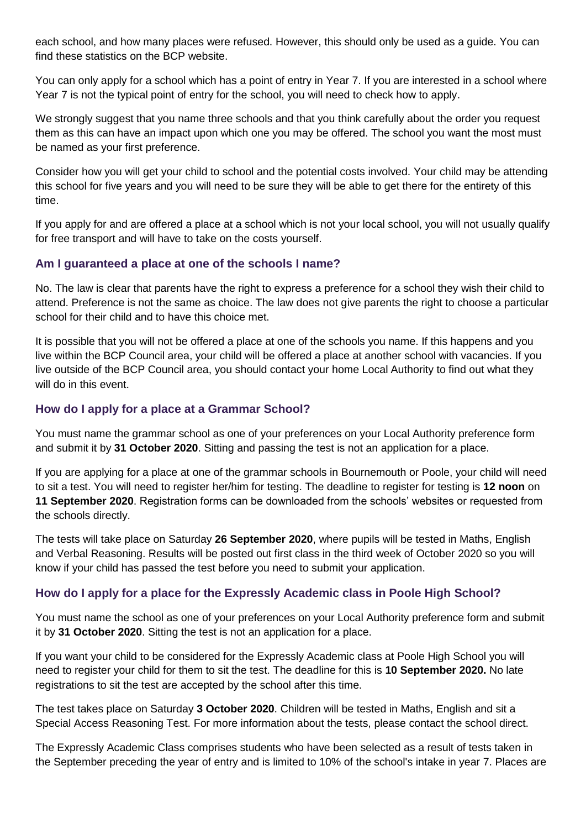each school, and how many places were refused. However, this should only be used as a guide. You can find these statistics on the BCP website.

You can only apply for a school which has a point of entry in Year 7. If you are interested in a school where Year 7 is not the typical point of entry for the school, you will need to check how to apply.

We strongly suggest that you name three schools and that you think carefully about the order you request them as this can have an impact upon which one you may be offered. The school you want the most must be named as your first preference.

Consider how you will get your child to school and the potential costs involved. Your child may be attending this school for five years and you will need to be sure they will be able to get there for the entirety of this time.

If you apply for and are offered a place at a school which is not your local school, you will not usually qualify for free transport and will have to take on the costs yourself.

## **Am I guaranteed a place at one of the schools I name?**

No. The law is clear that parents have the right to express a preference for a school they wish their child to attend. Preference is not the same as choice. The law does not give parents the right to choose a particular school for their child and to have this choice met.

It is possible that you will not be offered a place at one of the schools you name. If this happens and you live within the BCP Council area, your child will be offered a place at another school with vacancies. If you live outside of the BCP Council area, you should contact your home Local Authority to find out what they will do in this event.

## **How do I apply for a place at a Grammar School?**

You must name the grammar school as one of your preferences on your Local Authority preference form and submit it by **31 October 2020**. Sitting and passing the test is not an application for a place.

If you are applying for a place at one of the grammar schools in Bournemouth or Poole, your child will need to sit a test. You will need to register her/him for testing. The deadline to register for testing is **12 noon** on **11 September 2020**. Registration forms can be downloaded from the schools' websites or requested from the schools directly.

The tests will take place on Saturday **26 September 2020**, where pupils will be tested in Maths, English and Verbal Reasoning. Results will be posted out first class in the third week of October 2020 so you will know if your child has passed the test before you need to submit your application.

## **How do I apply for a place for the Expressly Academic class in Poole High School?**

You must name the school as one of your preferences on your Local Authority preference form and submit it by **31 October 2020**. Sitting the test is not an application for a place.

If you want your child to be considered for the Expressly Academic class at Poole High School you will need to register your child for them to sit the test. The deadline for this is **10 September 2020.** No late registrations to sit the test are accepted by the school after this time.

The test takes place on Saturday **3 October 2020**. Children will be tested in Maths, English and sit a Special Access Reasoning Test. For more information about the tests, please contact the school direct.

The Expressly Academic Class comprises students who have been selected as a result of tests taken in the September preceding the year of entry and is limited to 10% of the school's intake in year 7. Places are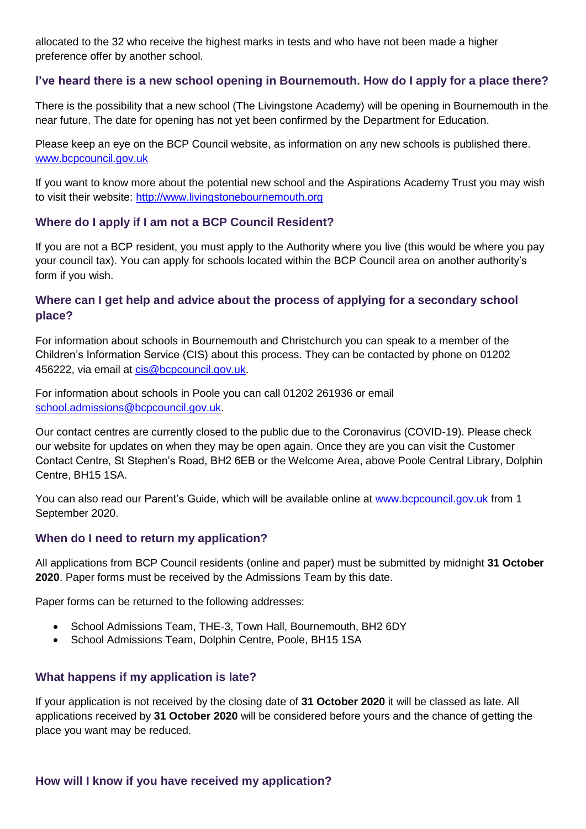allocated to the 32 who receive the highest marks in tests and who have not been made a higher preference offer by another school.

## **I've heard there is a new school opening in Bournemouth. How do I apply for a place there?**

There is the possibility that a new school (The Livingstone Academy) will be opening in Bournemouth in the near future. The date for opening has not yet been confirmed by the Department for Education.

Please keep an eye on the BCP Council website, as information on any new schools is published there. www.bcpcouncil.gov.uk

If you want to know more about the potential new school and the Aspirations Academy Trust you may wish to visit their website: [http://www.livingstonebournemouth.org](http://www.livingstonebournemouth.org/)

#### **Where do I apply if I am not a BCP Council Resident?**

If you are not a BCP resident, you must apply to the Authority where you live (this would be where you pay your council tax). You can apply for schools located within the BCP Council area on another authority's form if you wish.

## **Where can I get help and advice about the process of applying for a secondary school place?**

For information about schools in Bournemouth and Christchurch you can speak to a member of the Children's Information Service (CIS) about this process. They can be contacted by phone on 01202 456222, via email at [cis@bcpcouncil.gov.uk.](mailto:cis@bcpcouncil.gov.uk)

For information about schools in Poole you can call 01202 261936 or email [school.admissions@bcpcouncil.gov.uk.](mailto:school.admissions@bcpcouncil.gov.uk)

Our contact centres are currently closed to the public due to the Coronavirus (COVID-19). Please check our website for updates on when they may be open again. Once they are you can visit the Customer Contact Centre, St Stephen's Road, BH2 6EB or the Welcome Area, above Poole Central Library, Dolphin Centre, BH15 1SA.

You can also read our Parent's Guide, which will be available online at www.bcpcouncil.gov.uk from 1 September 2020.

#### **When do I need to return my application?**

All applications from BCP Council residents (online and paper) must be submitted by midnight **31 October 2020**. Paper forms must be received by the Admissions Team by this date.

Paper forms can be returned to the following addresses:

- School Admissions Team, THE-3, Town Hall, Bournemouth, BH2 6DY
- School Admissions Team, Dolphin Centre, Poole, BH15 1SA

## **What happens if my application is late?**

If your application is not received by the closing date of **31 October 2020** it will be classed as late. All applications received by **31 October 2020** will be considered before yours and the chance of getting the place you want may be reduced.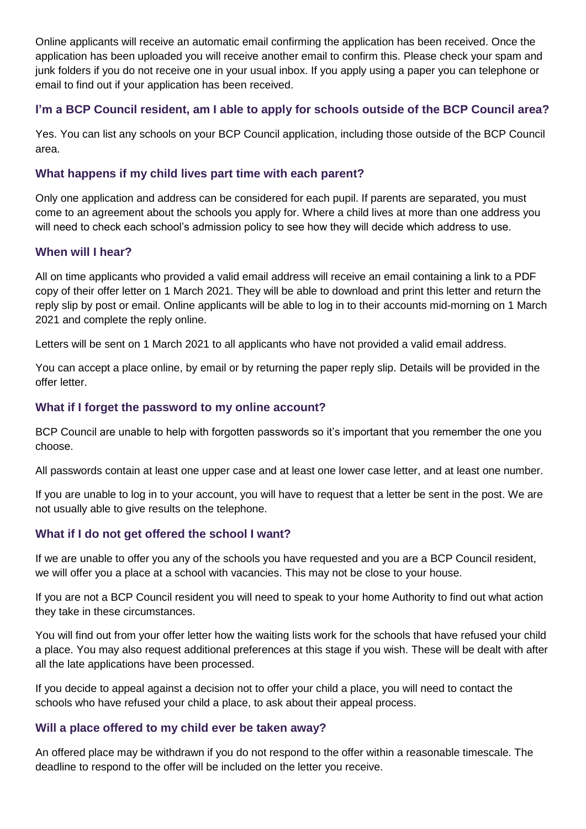Online applicants will receive an automatic email confirming the application has been received. Once the application has been uploaded you will receive another email to confirm this. Please check your spam and junk folders if you do not receive one in your usual inbox. If you apply using a paper you can telephone or email to find out if your application has been received.

## **I'm a BCP Council resident, am I able to apply for schools outside of the BCP Council area?**

Yes. You can list any schools on your BCP Council application, including those outside of the BCP Council area.

#### **What happens if my child lives part time with each parent?**

Only one application and address can be considered for each pupil. If parents are separated, you must come to an agreement about the schools you apply for. Where a child lives at more than one address you will need to check each school's admission policy to see how they will decide which address to use.

#### **When will I hear?**

All on time applicants who provided a valid email address will receive an email containing a link to a PDF copy of their offer letter on 1 March 2021. They will be able to download and print this letter and return the reply slip by post or email. Online applicants will be able to log in to their accounts mid-morning on 1 March 2021 and complete the reply online.

Letters will be sent on 1 March 2021 to all applicants who have not provided a valid email address.

You can accept a place online, by email or by returning the paper reply slip. Details will be provided in the offer letter.

#### **What if I forget the password to my online account?**

BCP Council are unable to help with forgotten passwords so it's important that you remember the one you choose.

All passwords contain at least one upper case and at least one lower case letter, and at least one number.

If you are unable to log in to your account, you will have to request that a letter be sent in the post. We are not usually able to give results on the telephone.

## **What if I do not get offered the school I want?**

If we are unable to offer you any of the schools you have requested and you are a BCP Council resident, we will offer you a place at a school with vacancies. This may not be close to your house.

If you are not a BCP Council resident you will need to speak to your home Authority to find out what action they take in these circumstances.

You will find out from your offer letter how the waiting lists work for the schools that have refused your child a place. You may also request additional preferences at this stage if you wish. These will be dealt with after all the late applications have been processed.

If you decide to appeal against a decision not to offer your child a place, you will need to contact the schools who have refused your child a place, to ask about their appeal process.

#### **Will a place offered to my child ever be taken away?**

An offered place may be withdrawn if you do not respond to the offer within a reasonable timescale. The deadline to respond to the offer will be included on the letter you receive.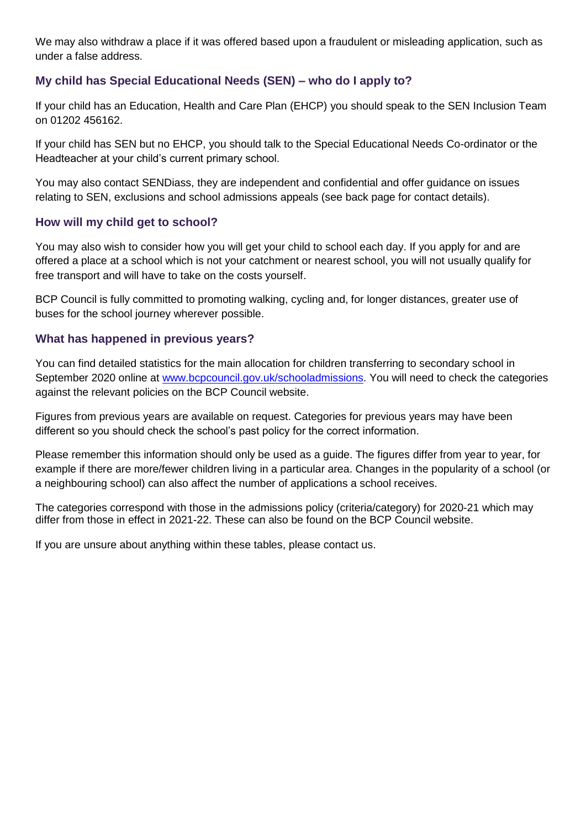We may also withdraw a place if it was offered based upon a fraudulent or misleading application, such as under a false address.

## **My child has Special Educational Needs (SEN) – who do I apply to?**

If your child has an Education, Health and Care Plan (EHCP) you should speak to the SEN Inclusion Team on 01202 456162.

If your child has SEN but no EHCP, you should talk to the Special Educational Needs Co-ordinator or the Headteacher at your child's current primary school.

You may also contact SENDiass, they are independent and confidential and offer guidance on issues relating to SEN, exclusions and school admissions appeals (see back page for contact details).

## **How will my child get to school?**

You may also wish to consider how you will get your child to school each day. If you apply for and are offered a place at a school which is not your catchment or nearest school, you will not usually qualify for free transport and will have to take on the costs yourself.

BCP Council is fully committed to promoting walking, cycling and, for longer distances, greater use of buses for the school journey wherever possible.

#### **What has happened in previous years?**

You can find detailed statistics for the main allocation for children transferring to secondary school in September 2020 online at [www.bcpcouncil.gov.uk/schooladmissions.](http://www.bcpcouncil.gov.uk/schooladmissions) You will need to check the categories against the relevant policies on the BCP Council website.

Figures from previous years are available on request. Categories for previous years may have been different so you should check the school's past policy for the correct information.

Please remember this information should only be used as a guide. The figures differ from year to year, for example if there are more/fewer children living in a particular area. Changes in the popularity of a school (or a neighbouring school) can also affect the number of applications a school receives.

The categories correspond with those in the admissions policy (criteria/category) for 2020-21 which may differ from those in effect in 2021-22. These can also be found on the BCP Council website.

If you are unsure about anything within these tables, please contact us.